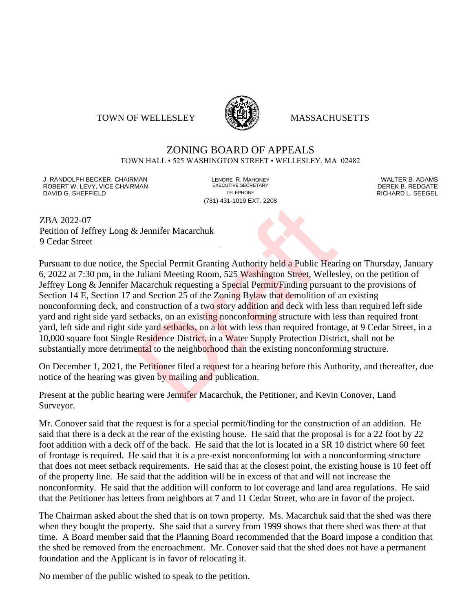### TOWN OF WELLESLEY **WELLESLEY** MASSACHUSETTS



## ZONING BOARD OF APPEALS

TOWN HALL • 525 WASHINGTON STREET • WELLESLEY, MA 02482

J. RANDOLPH BECKER, CHAIRMAN LENORE R. MAHONEY LENORE R. MAHONEY LENORE RESERVED BY AN ALTER B. ADAMS UNITER B<br>IN ROBERT W. LEVY. VICE CHAIRMAN LETTER AND RESERT ARE EXECUTIVE SECRETARY LETTER TO LETTER BY DEREK B. REDGATE ROBERT W. LEVY, VICE CHAIRMAN EXECUTIVE SECRETARY OF LEVEL CHAIRMAN DAVID G. SHEFFIELD TELEPHONE RICHARD L. SEEGEL

(781) 431-1019 EXT. 2208

ZBA 2022-07 Petition of Jeffrey Long & Jennifer Macarchuk 9 Cedar Street

Pursuant to due notice, the Special Permit Granting Authority held a Public Hearing on Thursday, January 6, 2022 at 7:30 pm, in the Juliani Meeting Room, 525 Washington Street, Wellesley, on the petition of Jeffrey Long & Jennifer Macarchuk requesting a Special Permit/Finding pursuant to the provisions of Section 14 E, Section 17 and Section 25 of the Zoning Bylaw that demolition of an existing nonconforming deck, and construction of a two story addition and deck with less than required left side yard and right side yard setbacks, on an existing nonconforming structure with less than required front yard, left side and right side yard setbacks, on a lot with less than required frontage, at 9 Cedar Street, in a 10,000 square foot Single Residence District, in a Water Supply Protection District, shall not be substantially more detrimental to the neighborhood than the existing nonconforming structure. Example: The Extractors<br>
2. Special Permit Granting Authority held a Public Hear<br>
Juliani Meeting Room, 525 Washington Street, Welles<br>
facarchuk requesting a Special Permit/Finding pursuan<br>
and Section 25 of the Zoning Byl

On December 1, 2021, the Petitioner filed a request for a hearing before this Authority, and thereafter, due notice of the hearing was given by mailing and publication.

Present at the public hearing were Jennifer Macarchuk, the Petitioner, and Kevin Conover, Land Surveyor.

Mr. Conover said that the request is for a special permit/finding for the construction of an addition. He said that there is a deck at the rear of the existing house. He said that the proposal is for a 22 foot by 22 foot addition with a deck off of the back. He said that the lot is located in a SR 10 district where 60 feet of frontage is required. He said that it is a pre-exist nonconforming lot with a nonconforming structure that does not meet setback requirements. He said that at the closest point, the existing house is 10 feet off of the property line. He said that the addition will be in excess of that and will not increase the nonconformity. He said that the addition will conform to lot coverage and land area regulations. He said that the Petitioner has letters from neighbors at 7 and 11 Cedar Street, who are in favor of the project.

The Chairman asked about the shed that is on town property. Ms. Macarchuk said that the shed was there when they bought the property. She said that a survey from 1999 shows that there shed was there at that time. A Board member said that the Planning Board recommended that the Board impose a condition that the shed be removed from the encroachment. Mr. Conover said that the shed does not have a permanent foundation and the Applicant is in favor of relocating it.

No member of the public wished to speak to the petition.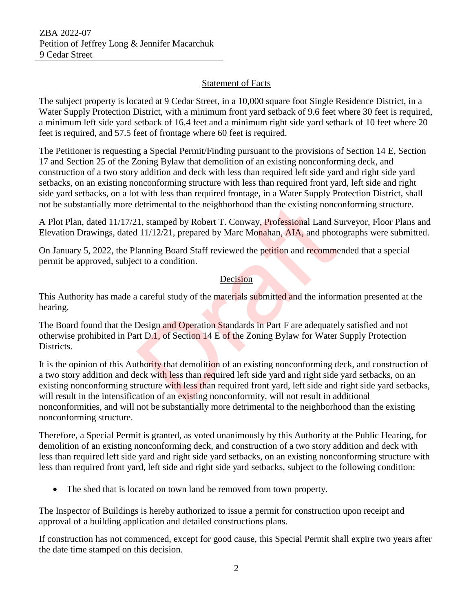# Statement of Facts

The subject property is located at 9 Cedar Street, in a 10,000 square foot Single Residence District, in a Water Supply Protection District, with a minimum front yard setback of 9.6 feet where 30 feet is required, a minimum left side yard setback of 16.4 feet and a minimum right side yard setback of 10 feet where 20 feet is required, and 57.5 feet of frontage where 60 feet is required.

The Petitioner is requesting a Special Permit/Finding pursuant to the provisions of Section 14 E, Section 17 and Section 25 of the Zoning Bylaw that demolition of an existing nonconforming deck, and construction of a two story addition and deck with less than required left side yard and right side yard setbacks, on an existing nonconforming structure with less than required front yard, left side and right side yard setbacks, on a lot with less than required frontage, in a Water Supply Protection District, shall not be substantially more detrimental to the neighborhood than the existing nonconforming structure.

A Plot Plan, dated 11/17/21, stamped by Robert T. Conway, Professional Land Surveyor, Floor Plans and Elevation Drawings, dated 11/12/21, prepared by Marc Monahan, AIA, and photographs were submitted.

On January 5, 2022, the Planning Board Staff reviewed the petition and recommended that a special permit be approved, subject to a condition.

# Decision

This Authority has made a careful study of the materials submitted and the information presented at the hearing.

The Board found that the Design and Operation Standards in Part F are adequately satisfied and not otherwise prohibited in Part D.1, of Section 14 E of the Zoning Bylaw for Water Supply Protection Districts.

It is the opinion of this Authority that demolition of an existing nonconforming deck, and construction of a two story addition and deck with less than required left side yard and right side yard setbacks, on an existing nonconforming structure with less than required front yard, left side and right side yard setbacks, will result in the intensification of an existing nonconformity, will not result in additional nonconformities, and will not be substantially more detrimental to the neighborhood than the existing nonconforming structure. detrimental to the neighborhood than the existing nonce<br>
1, stamped by Robert T. Conway, Professional Land S<br>
11/12/21, prepared by Marc Monahan, AIA, and phot<br>
lanning Board Staff reviewed the petition and recomment<br>
to a

Therefore, a Special Permit is granted, as voted unanimously by this Authority at the Public Hearing, for demolition of an existing nonconforming deck, and construction of a two story addition and deck with less than required left side yard and right side yard setbacks, on an existing nonconforming structure with less than required front yard, left side and right side yard setbacks, subject to the following condition:

• The shed that is located on town land be removed from town property.

The Inspector of Buildings is hereby authorized to issue a permit for construction upon receipt and approval of a building application and detailed constructions plans.

If construction has not commenced, except for good cause, this Special Permit shall expire two years after the date time stamped on this decision.